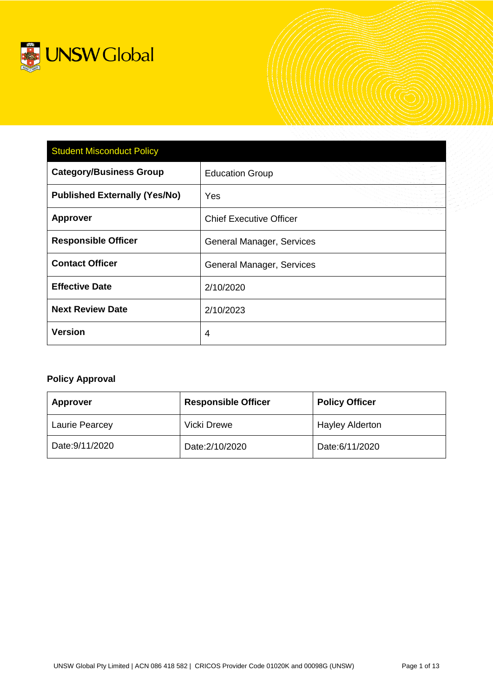

| <b>Student Misconduct Policy</b>     |                                |  |
|--------------------------------------|--------------------------------|--|
| <b>Category/Business Group</b>       | <b>Education Group</b>         |  |
| <b>Published Externally (Yes/No)</b> | Yes                            |  |
| <b>Approver</b>                      | <b>Chief Executive Officer</b> |  |
| <b>Responsible Officer</b>           | General Manager, Services      |  |
| <b>Contact Officer</b>               | General Manager, Services      |  |
| <b>Effective Date</b>                | 2/10/2020                      |  |
| <b>Next Review Date</b>              | 2/10/2023                      |  |
| <b>Version</b>                       | $\overline{4}$                 |  |

# **Policy Approval**

| <b>Approver</b>       | <b>Responsible Officer</b> | <b>Policy Officer</b>  |
|-----------------------|----------------------------|------------------------|
| <b>Laurie Pearcey</b> | <b>Vicki Drewe</b>         | <b>Hayley Alderton</b> |
| Date: 9/11/2020       | Date: 2/10/2020            | Date:6/11/2020         |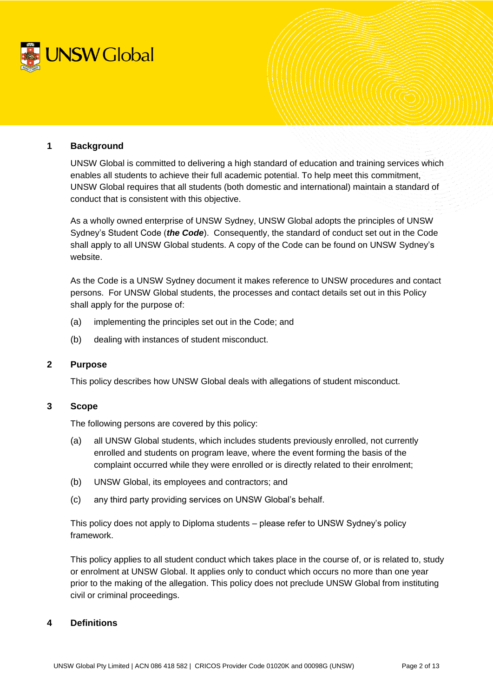

# **1 Background**

UNSW Global is committed to delivering a high standard of education and training services which enables all students to achieve their full academic potential. To help meet this commitment, UNSW Global requires that all students (both domestic and international) maintain a standard of conduct that is consistent with this objective.

As a wholly owned enterprise of UNSW Sydney, UNSW Global adopts the principles of UNSW Sydney's Student Code (*the Code*). Consequently, the standard of conduct set out in the Code shall apply to all UNSW Global students. A copy of the Code can be found on UNSW Sydney's website.

As the Code is a UNSW Sydney document it makes reference to UNSW procedures and contact persons. For UNSW Global students, the processes and contact details set out in this Policy shall apply for the purpose of:

- (a) implementing the principles set out in the Code; and
- (b) dealing with instances of student misconduct.

# **2 Purpose**

This policy describes how UNSW Global deals with allegations of student misconduct.

#### **3 Scope**

The following persons are covered by this policy:

- (a) all UNSW Global students, which includes students previously enrolled, not currently enrolled and students on program leave, where the event forming the basis of the complaint occurred while they were enrolled or is directly related to their enrolment;
- (b) UNSW Global, its employees and contractors; and
- (c) any third party providing services on UNSW Global's behalf.

This policy does not apply to Diploma students – please refer to UNSW Sydney's policy framework.

This policy applies to all student conduct which takes place in the course of, or is related to, study or enrolment at UNSW Global. It applies only to conduct which occurs no more than one year prior to the making of the allegation. This policy does not preclude UNSW Global from instituting civil or criminal proceedings.

# **4 Definitions**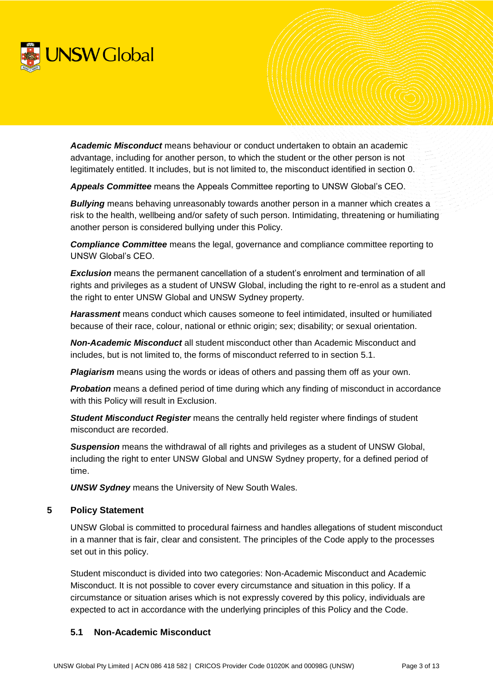

*Academic Misconduct* means behaviour or conduct undertaken to obtain an academic advantage, including for another person, to which the student or the other person is not legitimately entitled. It includes, but is not limited to, the misconduct identified in section [0.](#page-3-0)

*Appeals Committee* means the Appeals Committee reporting to UNSW Global's CEO.

*Bullying* means behaving unreasonably towards another person in a manner which creates a risk to the health, wellbeing and/or safety of such person. Intimidating, threatening or humiliating another person is considered bullying under this Policy.

*Compliance Committee* means the legal, governance and compliance committee reporting to UNSW Global's CEO.

**Exclusion** means the permanent cancellation of a student's enrolment and termination of all rights and privileges as a student of UNSW Global, including the right to re-enrol as a student and the right to enter UNSW Global and UNSW Sydney property.

*Harassment* means conduct which causes someone to feel intimidated, insulted or humiliated because of their race, colour, national or ethnic origin; sex; disability; or sexual orientation.

*Non-Academic Misconduct* all student misconduct other than Academic Misconduct and includes, but is not limited to, the forms of misconduct referred to in section [5.1.](#page-2-0)

*Plagiarism* means using the words or ideas of others and passing them off as your own.

**Probation** means a defined period of time during which any finding of misconduct in accordance with this Policy will result in Exclusion.

*Student Misconduct Register* means the centrally held register where findings of student misconduct are recorded.

**Suspension** means the withdrawal of all rights and privileges as a student of UNSW Global, including the right to enter UNSW Global and UNSW Sydney property, for a defined period of time.

*UNSW Sydney* means the University of New South Wales.

# **5 Policy Statement**

UNSW Global is committed to procedural fairness and handles allegations of student misconduct in a manner that is fair, clear and consistent. The principles of the Code apply to the processes set out in this policy.

Student misconduct is divided into two categories: Non-Academic Misconduct and Academic Misconduct. It is not possible to cover every circumstance and situation in this policy. If a circumstance or situation arises which is not expressly covered by this policy, individuals are expected to act in accordance with the underlying principles of this Policy and the Code.

# <span id="page-2-0"></span>**5.1 Non-Academic Misconduct**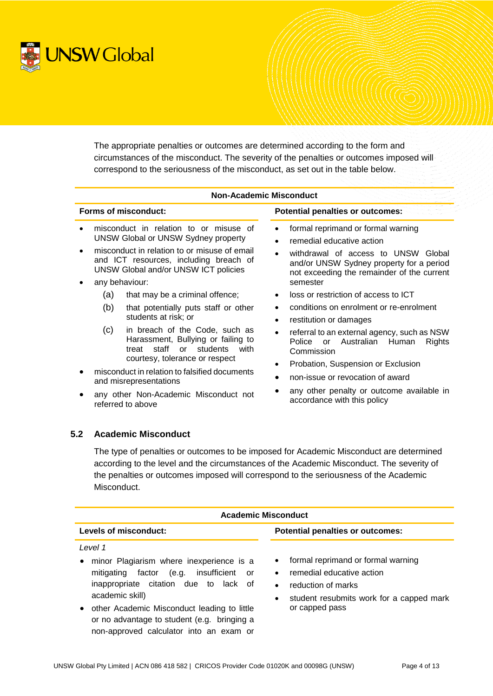

The appropriate penalties or outcomes are determined according to the form and circumstances of the misconduct. The severity of the penalties or outcomes imposed will correspond to the seriousness of the misconduct, as set out in the table below.

|                             | <b>Non-Academic Misconduct</b>                                                       |                                                                                                                                                            |                                                                                                                                                                                       |  |
|-----------------------------|--------------------------------------------------------------------------------------|------------------------------------------------------------------------------------------------------------------------------------------------------------|---------------------------------------------------------------------------------------------------------------------------------------------------------------------------------------|--|
| <b>Forms of misconduct:</b> |                                                                                      |                                                                                                                                                            | <b>Potential penalties or outcomes:</b>                                                                                                                                               |  |
|                             | misconduct in relation to or misuse of<br><b>UNSW Global or UNSW Sydney property</b> |                                                                                                                                                            | formal reprimand or formal warning<br>$\bullet$<br>remedial educative action<br>$\bullet$                                                                                             |  |
|                             |                                                                                      | misconduct in relation to or misuse of email<br>and ICT resources, including breach of<br>UNSW Global and/or UNSW ICT policies                             | withdrawal of access to UNSW Global<br>$\bullet$<br>and/or UNSW Sydney property for a period<br>not exceeding the remainder of the current                                            |  |
|                             | any behaviour:                                                                       |                                                                                                                                                            | semester                                                                                                                                                                              |  |
|                             | (a)                                                                                  | that may be a criminal offence;                                                                                                                            | loss or restriction of access to ICT<br>$\bullet$                                                                                                                                     |  |
|                             | (b)                                                                                  | that potentially puts staff or other<br>students at risk; or                                                                                               | conditions on enrolment or re-enrolment<br>٠<br>restitution or damages<br>$\bullet$                                                                                                   |  |
|                             | (c)                                                                                  | in breach of the Code, such as<br>Harassment, Bullying or failing to<br>staff<br>students<br>treat<br>$\alpha$ r<br>with<br>courtesy, tolerance or respect | referral to an external agency, such as NSW<br>$\bullet$<br>Police<br>Australian Human<br><b>Rights</b><br><b>or</b><br>Commission<br>Probation, Suspension or Exclusion<br>$\bullet$ |  |
|                             | misconduct in relation to falsified documents<br>$\bullet$<br>and misrepresentations |                                                                                                                                                            | non-issue or revocation of award                                                                                                                                                      |  |
|                             | any other Non-Academic Misconduct not<br>referred to above                           |                                                                                                                                                            | any other penalty or outcome available in<br>accordance with this policy                                                                                                              |  |

# <span id="page-3-1"></span><span id="page-3-0"></span>**5.2 Academic Misconduct**

The type of penalties or outcomes to be imposed for Academic Misconduct are determined according to the level and the circumstances of the Academic Misconduct. The severity of the penalties or outcomes imposed will correspond to the seriousness of the Academic Misconduct.

| <b>Academic Misconduct</b>                                                                                                                                                                                                                                                                                             |                                                                                                                                                                                                         |  |
|------------------------------------------------------------------------------------------------------------------------------------------------------------------------------------------------------------------------------------------------------------------------------------------------------------------------|---------------------------------------------------------------------------------------------------------------------------------------------------------------------------------------------------------|--|
| Levels of misconduct:                                                                                                                                                                                                                                                                                                  | <b>Potential penalties or outcomes:</b>                                                                                                                                                                 |  |
| Level 1<br>minor Plagiarism where inexperience is a<br>(e.g. insufficient or<br>mitigating<br>factor<br>inappropriate citation due to lack of<br>academic skill)<br>other Academic Misconduct leading to little<br>$\bullet$<br>or no advantage to student (e.g. bringing a<br>non-approved calculator into an exam or | formal reprimand or formal warning<br>$\bullet$<br>remedial educative action<br>$\bullet$<br>reduction of marks<br>$\bullet$<br>student resubmits work for a capped mark<br>$\bullet$<br>or capped pass |  |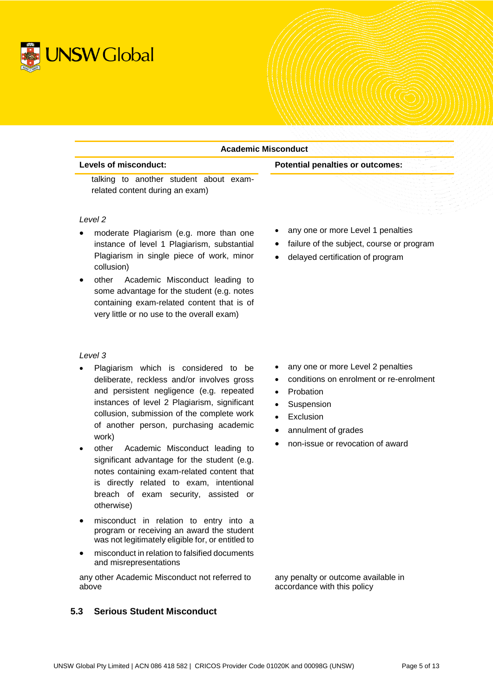

| <b>Academic Misconduct</b><br>Levels of misconduct:<br><b>Potential penalties or outcomes:</b> |                                                        |  |
|------------------------------------------------------------------------------------------------|--------------------------------------------------------|--|
|                                                                                                |                                                        |  |
| Level 2                                                                                        |                                                        |  |
| moderate Plagiarism (e.g. more than one<br>$\bullet$                                           | any one or more Level 1 penalties                      |  |
| instance of level 1 Plagiarism, substantial                                                    | failure of the subject, course or program<br>$\bullet$ |  |
| Plagiarism in single piece of work, minor<br>collusion)                                        | delayed certification of program                       |  |
| Academic Misconduct leading to<br>other                                                        |                                                        |  |
| some advantage for the student (e.g. notes                                                     |                                                        |  |
| containing exam-related content that is of                                                     |                                                        |  |

#### *Level 3*

 Plagiarism which is considered to be deliberate, reckless and/or involves gross and persistent negligence (e.g. repeated instances of level 2 Plagiarism, significant collusion, submission of the complete work of another person, purchasing academic work)

very little or no use to the overall exam)

- other Academic Misconduct leading to significant advantage for the student (e.g. notes containing exam-related content that is directly related to exam, intentional breach of exam security, assisted or otherwise)
- misconduct in relation to entry into a program or receiving an award the student was not legitimately eligible for, or entitled to
- misconduct in relation to falsified documents and misrepresentations

any other Academic Misconduct not referred to above

# <span id="page-4-0"></span>**5.3 Serious Student Misconduct**

- any one or more Level 2 penalties
- conditions on enrolment or re-enrolment
- Probation
- Suspension
- Exclusion
- annulment of grades
- non-issue or revocation of award

any penalty or outcome available in accordance with this policy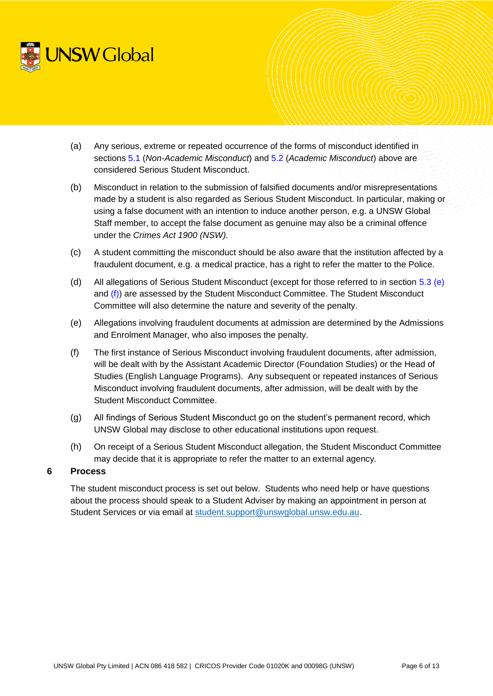

- (a) Any serious, extreme or repeated occurrence of the forms of misconduct identified in sections [5.1](#page-2-0) (*Non-Academic Misconduct*) and [5.2](#page-3-1) (*Academic Misconduct*) above are considered Serious Student Misconduct.
- (b) Misconduct in relation to the submission of falsified documents and/or misrepresentations made by a student is also regarded as Serious Student Misconduct. In particular, making or using a false document with an intention to induce another person, e.g. a UNSW Global Staff member, to accept the false document as genuine may also be a criminal offence under the *Crimes Act 1900 (NSW).*
- (c) A student committing the misconduct should be also aware that the institution affected by a fraudulent document, e.g. a medical practice, has a right to refer the matter to the Police.
- (d) All allegations of Serious Student Misconduct (except for those referred to in section [5.3](#page-4-0) [\(e\)](#page-5-0) and [\(f\)\)](#page-5-1) are assessed by the Student Misconduct Committee. The Student Misconduct Committee will also determine the nature and severity of the penalty.
- <span id="page-5-0"></span>(e) Allegations involving fraudulent documents at admission are determined by the Admissions and Enrolment Manager, who also imposes the penalty.
- <span id="page-5-1"></span>(f) The first instance of Serious Misconduct involving fraudulent documents, after admission, will be dealt with by the Assistant Academic Director (Foundation Studies) or the Head of Studies (English Language Programs). Any subsequent or repeated instances of Serious Misconduct involving fraudulent documents, after admission, will be dealt with by the Student Misconduct Committee.
- (g) All findings of Serious Student Misconduct go on the student's permanent record, which UNSW Global may disclose to other educational institutions upon request.
- (h) On receipt of a Serious Student Misconduct allegation, the Student Misconduct Committee may decide that it is appropriate to refer the matter to an external agency.

# **6 Process**

The student misconduct process is set out below. Students who need help or have questions about the process should speak to a Student Adviser by making an appointment in person at Student Services or via email at [student.support@unswglobal.unsw.edu.au.](mailto:student.support@unswglobal.unsw.edu.au)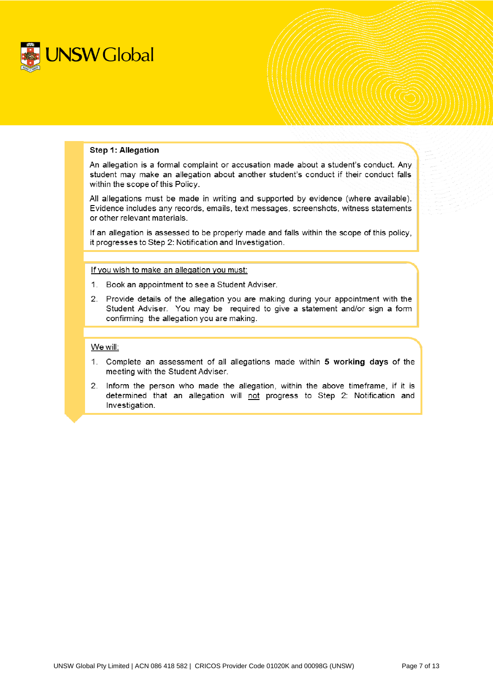

#### **Step 1: Allegation**

An allegation is a formal complaint or accusation made about a student's conduct. Any student may make an allegation about another student's conduct if their conduct falls within the scope of this Policy.

All allegations must be made in writing and supported by evidence (where available). Evidence includes any records, emails, text messages, screenshots, witness statements or other relevant materials.

If an allegation is assessed to be properly made and falls within the scope of this policy. it progresses to Step 2: Notification and Investigation.

If you wish to make an allegation you must:

- 1. Book an appointment to see a Student Adviser.
- 2. Provide details of the allegation you are making during your appointment with the Student Adviser. You may be required to give a statement and/or sign a form confirming the allegation you are making.

#### We will:

- 1. Complete an assessment of all allegations made within 5 working days of the meeting with the Student Adviser.
- 2. Inform the person who made the allegation, within the above timeframe, if it is determined that an allegation will not progress to Step 2: Notification and Investigation.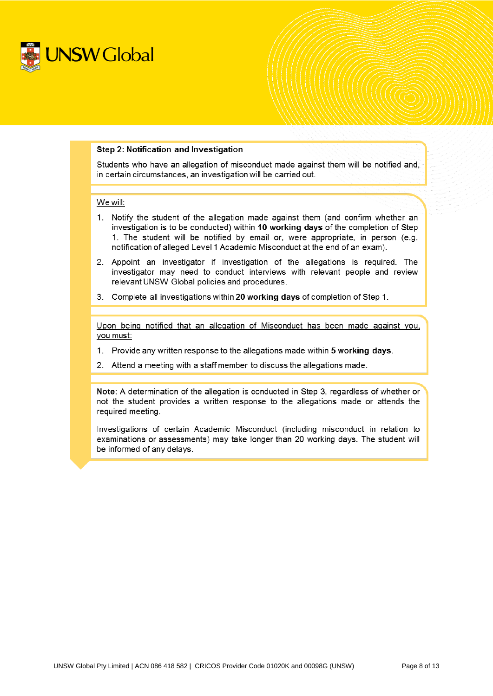

#### Step 2: Notification and Investigation

Students who have an allegation of misconduct made against them will be notified and, in certain circumstances, an investigation will be carried out.

#### We will:

- 1. Notify the student of the allegation made against them (and confirm whether an investigation is to be conducted) within 10 working days of the completion of Step 1. The student will be notified by email or, were appropriate, in person (e.g. notification of alleged Level 1 Academic Misconduct at the end of an exam).
- 2. Appoint an investigator if investigation of the allegations is required. The investigator may need to conduct interviews with relevant people and review relevant UNSW Global policies and procedures.
- 3. Complete all investigations within 20 working days of completion of Step 1.

Upon being notified that an allegation of Misconduct has been made against you, you must:

- 1. Provide any written response to the allegations made within 5 working days.
- 2. Attend a meeting with a staff member to discuss the allegations made.

Note: A determination of the allegation is conducted in Step 3, regardless of whether or not the student provides a written response to the allegations made or attends the required meeting.

Investigations of certain Academic Misconduct (including misconduct in relation to examinations or assessments) may take longer than 20 working days. The student will be informed of any delays.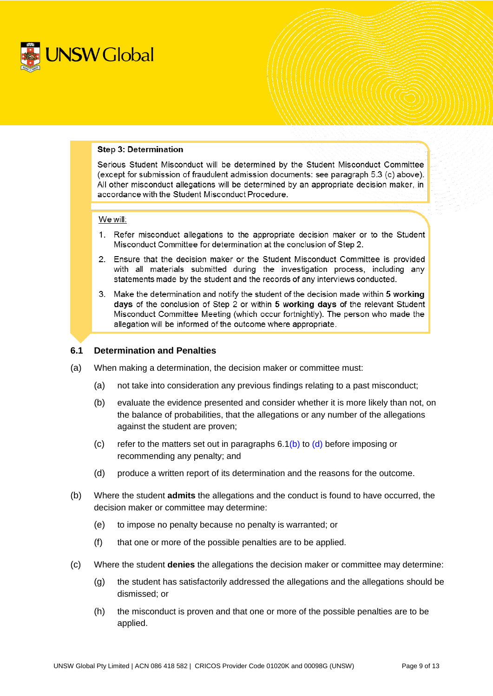

#### **Step 3: Determination**

Serious Student Misconduct will be determined by the Student Misconduct Committee (except for submission of fraudulent admission documents: see paragraph 5.3 (c) above). All other misconduct allegations will be determined by an appropriate decision maker, in accordance with the Student Misconduct Procedure.

#### We will:

- 1. Refer misconduct allegations to the appropriate decision maker or to the Student Misconduct Committee for determination at the conclusion of Step 2.
- 2. Ensure that the decision maker or the Student Misconduct Committee is provided with all materials submitted during the investigation process, including any statements made by the student and the records of any interviews conducted.
- 3. Make the determination and notify the student of the decision made within 5 working days of the conclusion of Step 2 or within 5 working days of the relevant Student Misconduct Committee Meeting (which occur fortnightly). The person who made the allegation will be informed of the outcome where appropriate.

#### <span id="page-8-0"></span>**6.1 Determination and Penalties**

- (a) When making a determination, the decision maker or committee must:
	- (a) not take into consideration any previous findings relating to a past misconduct;
	- (b) evaluate the evidence presented and consider whether it is more likely than not, on the balance of probabilities, that the allegations or any number of the allegations against the student are proven;
	- (c) refer to the matters set out in paragraphs  $6.1(b)$  $6.1(b)$  to [\(d\)](#page-9-0) before imposing or recommending any penalty; and
	- (d) produce a written report of its determination and the reasons for the outcome.
- <span id="page-8-1"></span>(b) Where the student **admits** the allegations and the conduct is found to have occurred, the decision maker or committee may determine:
	- (e) to impose no penalty because no penalty is warranted; or
	- (f) that one or more of the possible penalties are to be applied.
- (c) Where the student **denies** the allegations the decision maker or committee may determine:
	- (g) the student has satisfactorily addressed the allegations and the allegations should be dismissed; or
	- (h) the misconduct is proven and that one or more of the possible penalties are to be applied.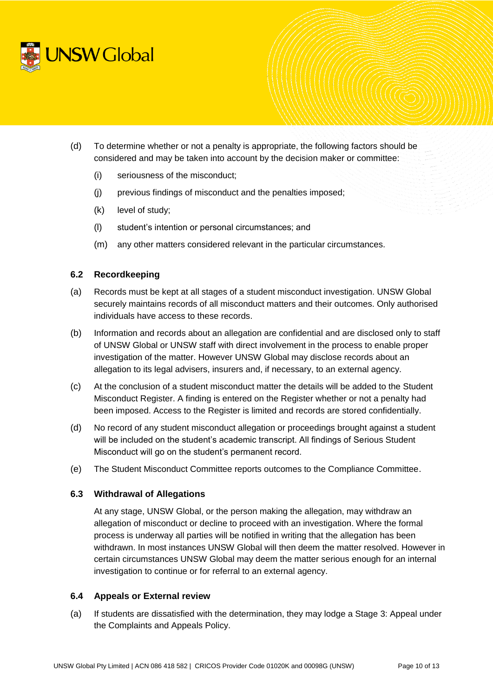

- <span id="page-9-0"></span>(d) To determine whether or not a penalty is appropriate, the following factors should be considered and may be taken into account by the decision maker or committee:
	- (i) seriousness of the misconduct;
	- (j) previous findings of misconduct and the penalties imposed;
	- (k) level of study;
	- (l) student's intention or personal circumstances; and
	- (m) any other matters considered relevant in the particular circumstances.

# **6.2 Recordkeeping**

- (a) Records must be kept at all stages of a student misconduct investigation. UNSW Global securely maintains records of all misconduct matters and their outcomes. Only authorised individuals have access to these records.
- (b) Information and records about an allegation are confidential and are disclosed only to staff of UNSW Global or UNSW staff with direct involvement in the process to enable proper investigation of the matter. However UNSW Global may disclose records about an allegation to its legal advisers, insurers and, if necessary, to an external agency.
- (c) At the conclusion of a student misconduct matter the details will be added to the Student Misconduct Register. A finding is entered on the Register whether or not a penalty had been imposed. Access to the Register is limited and records are stored confidentially.
- (d) No record of any student misconduct allegation or proceedings brought against a student will be included on the student's academic transcript. All findings of Serious Student Misconduct will go on the student's permanent record.
- (e) The Student Misconduct Committee reports outcomes to the Compliance Committee.

# **6.3 Withdrawal of Allegations**

At any stage, UNSW Global, or the person making the allegation, may withdraw an allegation of misconduct or decline to proceed with an investigation. Where the formal process is underway all parties will be notified in writing that the allegation has been withdrawn. In most instances UNSW Global will then deem the matter resolved. However in certain circumstances UNSW Global may deem the matter serious enough for an internal investigation to continue or for referral to an external agency.

# **6.4 Appeals or External review**

(a) If students are dissatisfied with the determination, they may lodge a Stage 3: Appeal under the Complaints and Appeals Policy.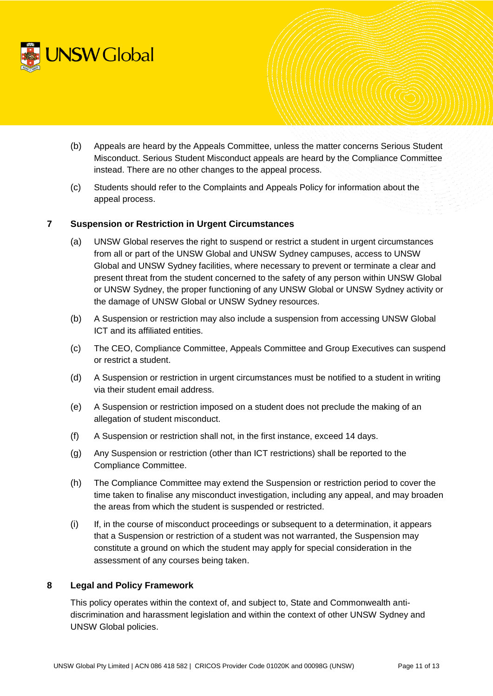

- (b) Appeals are heard by the Appeals Committee, unless the matter concerns Serious Student Misconduct. Serious Student Misconduct appeals are heard by the Compliance Committee instead. There are no other changes to the appeal process.
- (c) Students should refer to the Complaints and Appeals Policy for information about the appeal process.

# **7 Suspension or Restriction in Urgent Circumstances**

- (a) UNSW Global reserves the right to suspend or restrict a student in urgent circumstances from all or part of the UNSW Global and UNSW Sydney campuses, access to UNSW Global and UNSW Sydney facilities, where necessary to prevent or terminate a clear and present threat from the student concerned to the safety of any person within UNSW Global or UNSW Sydney, the proper functioning of any UNSW Global or UNSW Sydney activity or the damage of UNSW Global or UNSW Sydney resources.
- (b) A Suspension or restriction may also include a suspension from accessing UNSW Global ICT and its affiliated entities.
- (c) The CEO, Compliance Committee, Appeals Committee and Group Executives can suspend or restrict a student.
- (d) A Suspension or restriction in urgent circumstances must be notified to a student in writing via their student email address.
- (e) A Suspension or restriction imposed on a student does not preclude the making of an allegation of student misconduct.
- (f) A Suspension or restriction shall not, in the first instance, exceed 14 days.
- (g) Any Suspension or restriction (other than ICT restrictions) shall be reported to the Compliance Committee.
- (h) The Compliance Committee may extend the Suspension or restriction period to cover the time taken to finalise any misconduct investigation, including any appeal, and may broaden the areas from which the student is suspended or restricted.
- (i) If, in the course of misconduct proceedings or subsequent to a determination, it appears that a Suspension or restriction of a student was not warranted, the Suspension may constitute a ground on which the student may apply for special consideration in the assessment of any courses being taken.

# **8 Legal and Policy Framework**

This policy operates within the context of, and subject to, State and Commonwealth antidiscrimination and harassment legislation and within the context of other UNSW Sydney and UNSW Global policies.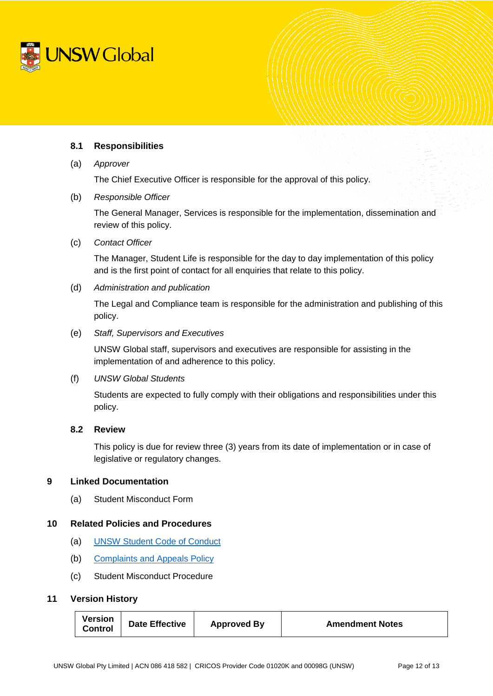

# **8.1 Responsibilities**

(a) *Approver*

The Chief Executive Officer is responsible for the approval of this policy.

(b) *Responsible Officer*

The General Manager, Services is responsible for the implementation, dissemination and review of this policy.

(c) *Contact Officer* 

The Manager, Student Life is responsible for the day to day implementation of this policy and is the first point of contact for all enquiries that relate to this policy.

(d) *Administration and publication*

The Legal and Compliance team is responsible for the administration and publishing of this policy.

(e) *Staff, Supervisors and Executives*

UNSW Global staff, supervisors and executives are responsible for assisting in the implementation of and adherence to this policy.

(f) *UNSW Global Students*

Students are expected to fully comply with their obligations and responsibilities under this policy.

# **8.2 Review**

This policy is due for review three (3) years from its date of implementation or in case of legislative or regulatory changes.

# **9 Linked Documentation**

(a) Student Misconduct Form

# **10 Related Policies and Procedures**

- (a) [UNSW Student Code of Conduct](https://www.gs.unsw.edu.au/policy/documents/studentcodepolicy.pdf)
- (b) [Complaints and Appeals Policy](https://intranet.unswglobal.unsw.edu.au/Policy/Policy/Complaints%20and%20Appeals%20Policy.pdf)
- (c) Student Misconduct Procedure

# **11 Version History**

| Version<br><b>Control</b> | <b>Date Effective</b> | <b>Approved By</b> | <b>Amendment Notes</b> |
|---------------------------|-----------------------|--------------------|------------------------|
|---------------------------|-----------------------|--------------------|------------------------|